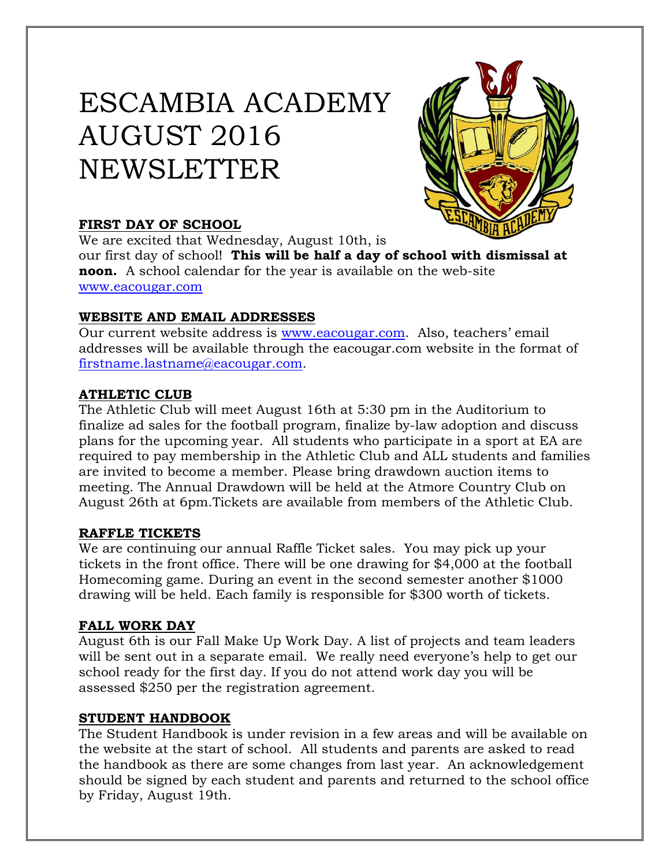# ESCAMBIA ACADEMY AUGUST 2016 NEWSLETTER

# **FIRST DAY OF SCHOOL**

We are excited that Wednesday, August 10th, is

our first day of school! **This will be half a day of school with dismissal at noon.** A school calendar for the year is available on the web-site [www.eacougar.com](http://www.eacougar.com/) 

# **WEBSITE AND EMAIL ADDRESSES**

Our current website address is [www.eacougar.com.](http://www.eacougar.com/) Also, teachers' email addresses will be available through the eacougar.com website in the format of [firstname.lastname@eacougar.com.](mailto:firstname.lastname@eacougar.com)

# **ATHLETIC CLUB**

The Athletic Club will meet August 16th at 5:30 pm in the Auditorium to finalize ad sales for the football program, finalize by-law adoption and discuss plans for the upcoming year. All students who participate in a sport at EA are required to pay membership in the Athletic Club and ALL students and families are invited to become a member. Please bring drawdown auction items to meeting. The Annual Drawdown will be held at the Atmore Country Club on August 26th at 6pm.Tickets are available from members of the Athletic Club.

# **RAFFLE TICKETS**

We are continuing our annual Raffle Ticket sales. You may pick up your tickets in the front office. There will be one drawing for \$4,000 at the football Homecoming game. During an event in the second semester another \$1000 drawing will be held. Each family is responsible for \$300 worth of tickets.

# **FALL WORK DAY**

August 6th is our Fall Make Up Work Day. A list of projects and team leaders will be sent out in a separate email. We really need everyone's help to get our school ready for the first day. If you do not attend work day you will be assessed \$250 per the registration agreement.

#### **STUDENT HANDBOOK**

The Student Handbook is under revision in a few areas and will be available on the website at the start of school. All students and parents are asked to read the handbook as there are some changes from last year. An acknowledgement should be signed by each student and parents and returned to the school office by Friday, August 19th.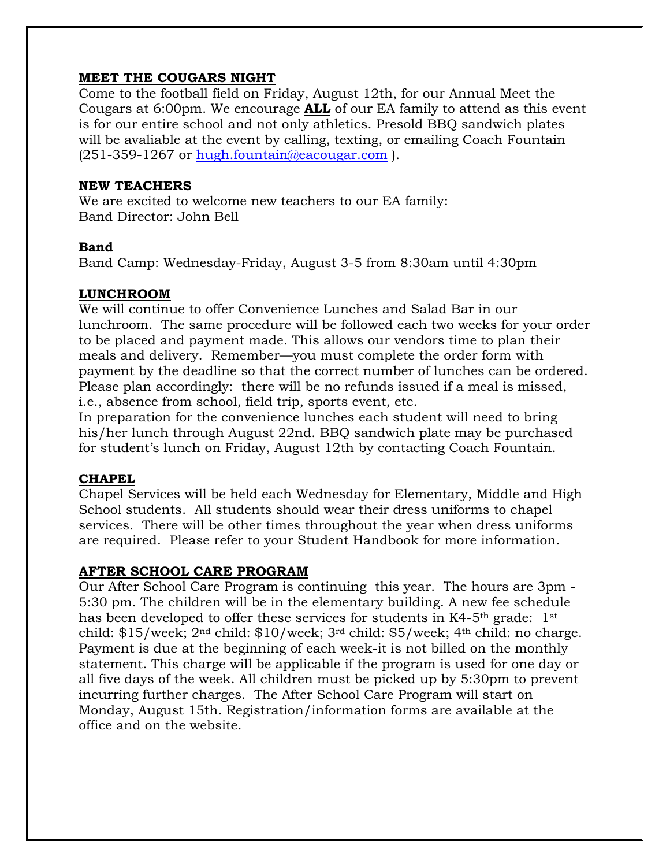## **MEET THE COUGARS NIGHT**

Come to the football field on Friday, August 12th, for our Annual Meet the Cougars at 6:00pm. We encourage **ALL** of our EA family to attend as this event is for our entire school and not only athletics. Presold BBQ sandwich plates will be avaliable at the event by calling, texting, or emailing Coach Fountain  $(251-359-1267)$  or [hugh.fountain@eacougar.com](mailto:hugh.fountain@eacougar.com) ).

#### **NEW TEACHERS**

We are excited to welcome new teachers to our EA family: Band Director: John Bell

# **Band**

Band Camp: Wednesday-Friday, August 3-5 from 8:30am until 4:30pm

# **LUNCHROOM**

We will continue to offer Convenience Lunches and Salad Bar in our lunchroom. The same procedure will be followed each two weeks for your order to be placed and payment made. This allows our vendors time to plan their meals and delivery. Remember—you must complete the order form with payment by the deadline so that the correct number of lunches can be ordered. Please plan accordingly: there will be no refunds issued if a meal is missed, i.e., absence from school, field trip, sports event, etc.

In preparation for the convenience lunches each student will need to bring his/her lunch through August 22nd. BBQ sandwich plate may be purchased for student's lunch on Friday, August 12th by contacting Coach Fountain.

#### **CHAPEL**

Chapel Services will be held each Wednesday for Elementary, Middle and High School students. All students should wear their dress uniforms to chapel services. There will be other times throughout the year when dress uniforms are required. Please refer to your Student Handbook for more information.

# **AFTER SCHOOL CARE PROGRAM**

Our After School Care Program is continuing this year. The hours are 3pm - 5:30 pm. The children will be in the elementary building. A new fee schedule has been developed to offer these services for students in K4-5<sup>th</sup> grade: 1<sup>st</sup> child: \$15/week; 2nd child: \$10/week; 3rd child: \$5/week; 4th child: no charge. Payment is due at the beginning of each week-it is not billed on the monthly statement. This charge will be applicable if the program is used for one day or all five days of the week. All children must be picked up by 5:30pm to prevent incurring further charges. The After School Care Program will start on Monday, August 15th. Registration/information forms are available at the office and on the website.